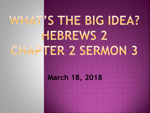# WHAT'S THE BIG IDEA? **HEBREWS 2** CHAPTER 2 SERMON 3

## **March 18, 2018**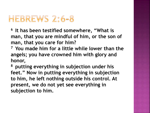## HEBREWS 2:6-8

**<sup>6</sup>It has been testified somewhere, "What is man, that you are mindful of him, or the son of man, that you care for him?** 

**<sup>7</sup>You made him for a little while lower than the angels; you have crowned him with glory and honor,** 

**<sup>8</sup>putting everything in subjection under his feet." Now in putting everything in subjection to him, he left nothing outside his control. At present, we do not yet see everything in subjection to him.**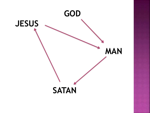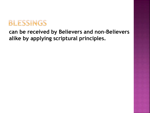

### **can be received by Believers and non-Believers alike by applying scriptural principles.**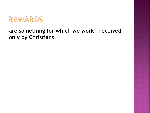

#### **are something for which we work - received only by Christians.**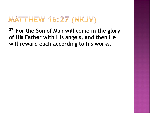## MATTHEW 16:27 (NKJV)

**<sup>27</sup>For the Son of Man will come in the glory of His Father with His angels, and then He will reward each according to his works.**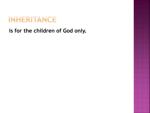

**is for the children of God only.**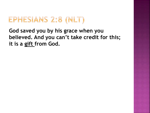## EPHESIANS 2:8 (NLT)

**God saved you by his grace when you believed. And you can't take credit for this; it is a gift from God.**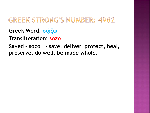## **GREEK STRONG'S NUMBER: 4982**

**Greek Word: σῴζω**

**Transliteration: sōzō**

**Saved – sozo - save, deliver, protect, heal, preserve, do well, be made whole.**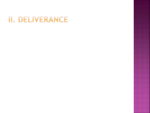## II. DELIVERANCE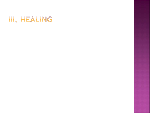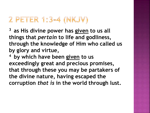## 2 PETER 1:3-4 (NKJV)

**<sup>3</sup>as His divine power has given to us all things that** *pertain* **to life and godliness, through the knowledge of Him who called us by glory and virtue,** 

**<sup>4</sup>by which have been given to us exceedingly great and precious promises, that through these you may be partakers of the divine nature, having escaped the corruption** *that is* **in the world through lust.**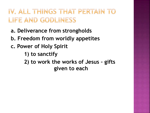## IV, ALL THINGS THAT PERTAIN TO LIFE AND GODLINESS

- **a. Deliverance from strongholds**
- **b. Freedom from worldly appetites**
- **c. Power of Holy Spirit** 
	- **1) to sanctify**
	- **2) to work the works of Jesus – gifts given to each**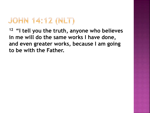# JOHN 14:12 (NLT)

**<sup>12</sup>"I tell you the truth, anyone who believes in me will do the same works I have done, and even greater works, because I am going to be with the Father.**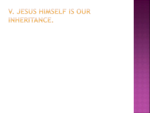## V. JESUS HIMSELF IS OUR INHERITANCE.

- 
- 
- 
- 
- 
- 
- 
- - -